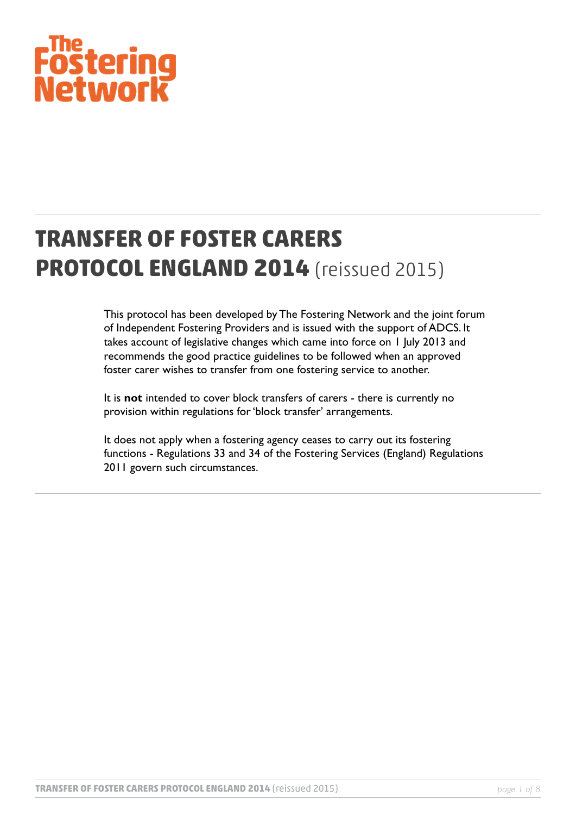# F<sup>ine</sup><br>Fostering<br>Network

# **TRANSFER OF FOSTER CARERS PROTOCOL ENGLAND 2014** (reissued 2015)

This protocol has been developed by The Fostering Network and the joint forum of Independent Fostering Providers and is issued with the support of ADCS. It takes account of legislative changes which came into force on 1 July 2013 and recommends the good practice guidelines to be followed when an approved foster carer wishes to transfer from one fostering service to another.

It is **not** intended to cover block transfers of carers - there is currently no provision within regulations for 'block transfer' arrangements.

It does not apply when a fostering agency ceases to carry out its fostering functions - Regulations 33 and 34 of the Fostering Services (England) Regulations 2011 govern such circumstances.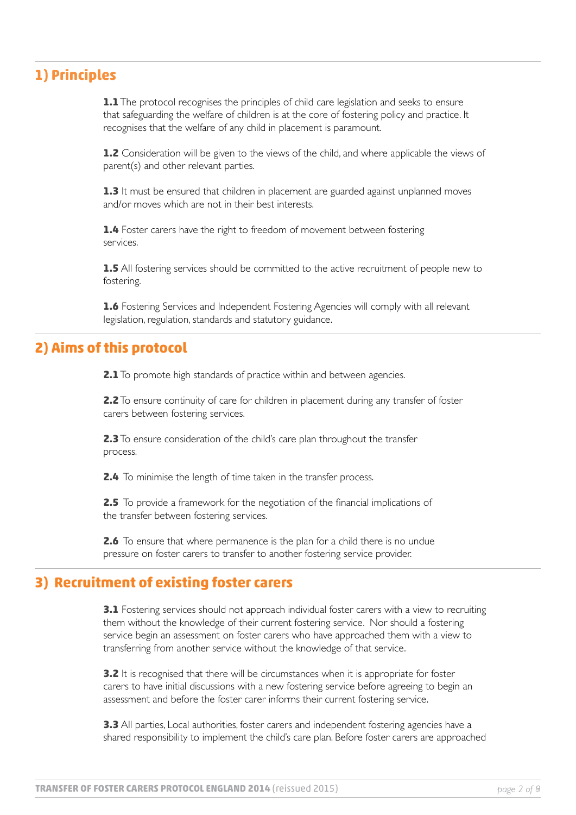# **1) Principles**

**1.1** The protocol recognises the principles of child care legislation and seeks to ensure that safeguarding the welfare of children is at the core of fostering policy and practice. It recognises that the welfare of any child in placement is paramount.

**1.2** Consideration will be given to the views of the child, and where applicable the views of parent(s) and other relevant parties.

**1.3** It must be ensured that children in placement are guarded against unplanned moves and/or moves which are not in their best interests.

**1.4** Foster carers have the right to freedom of movement between fostering services.

**1.5** All fostering services should be committed to the active recruitment of people new to fostering.

**1.6** Fostering Services and Independent Fostering Agencies will comply with all relevant legislation, regulation, standards and statutory guidance.

#### **2) Aims of this protocol**

**2.1** To promote high standards of practice within and between agencies.

**2.2** To ensure continuity of care for children in placement during any transfer of foster carers between fostering services.

**2.3** To ensure consideration of the child's care plan throughout the transfer process.

**2.4** To minimise the length of time taken in the transfer process.

**2.5** To provide a framework for the negotiation of the financial implications of the transfer between fostering services.

**2.6** To ensure that where permanence is the plan for a child there is no undue pressure on foster carers to transfer to another fostering service provider.

#### **3) Recruitment of existing foster carers**

**3.1** Fostering services should not approach individual foster carers with a view to recruiting them without the knowledge of their current fostering service. Nor should a fostering service begin an assessment on foster carers who have approached them with a view to transferring from another service without the knowledge of that service.

**3.2** It is recognised that there will be circumstances when it is appropriate for foster carers to have initial discussions with a new fostering service before agreeing to begin an assessment and before the foster carer informs their current fostering service.

**3.3** All parties, Local authorities, foster carers and independent fostering agencies have a shared responsibility to implement the child's care plan. Before foster carers are approached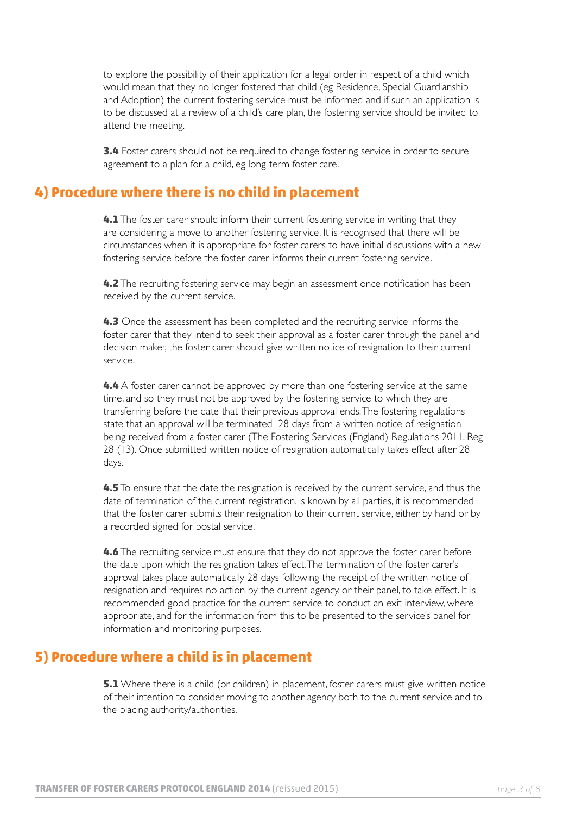to explore the possibility of their application for a legal order in respect of a child which would mean that they no longer fostered that child (eg Residence, Special Guardianship and Adoption) the current fostering service must be informed and if such an application is to be discussed at a review of a child's care plan, the fostering service should be invited to attend the meeting.

**3.4** Foster carers should not be required to change fostering service in order to secure agreement to a plan for a child, eg long-term foster care.

#### **4) Procedure where there is no child in placement**

**4.1** The foster carer should inform their current fostering service in writing that they are considering a move to another fostering service. It is recognised that there will be circumstances when it is appropriate for foster carers to have initial discussions with a new fostering service before the foster carer informs their current fostering service.

**4.2** The recruiting fostering service may begin an assessment once notification has been received by the current service.

**4.3** Once the assessment has been completed and the recruiting service informs the foster carer that they intend to seek their approval as a foster carer through the panel and decision maker, the foster carer should give written notice of resignation to their current service.

**4.4** A foster carer cannot be approved by more than one fostering service at the same time, and so they must not be approved by the fostering service to which they are transferring before the date that their previous approval ends. The fostering regulations state that an approval will be terminated 28 days from a written notice of resignation being received from a foster carer (The Fostering Services (England) Regulations 2011, Reg 28 (13). Once submitted written notice of resignation automatically takes effect after 28 days.

**4.5** To ensure that the date the resignation is received by the current service, and thus the date of termination of the current registration, is known by all parties, it is recommended that the foster carer submits their resignation to their current service, either by hand or by a recorded signed for postal service.

**4.6** The recruiting service must ensure that they do not approve the foster carer before the date upon which the resignation takes effect. The termination of the foster carer's approval takes place automatically 28 days following the receipt of the written notice of resignation and requires no action by the current agency, or their panel, to take effect. It is recommended good practice for the current service to conduct an exit interview, where appropriate, and for the information from this to be presented to the service's panel for information and monitoring purposes.

#### **5) Procedure where a child is in placement**

**5.1** Where there is a child (or children) in placement, foster carers must give written notice of their intention to consider moving to another agency both to the current service and to the placing authority/authorities.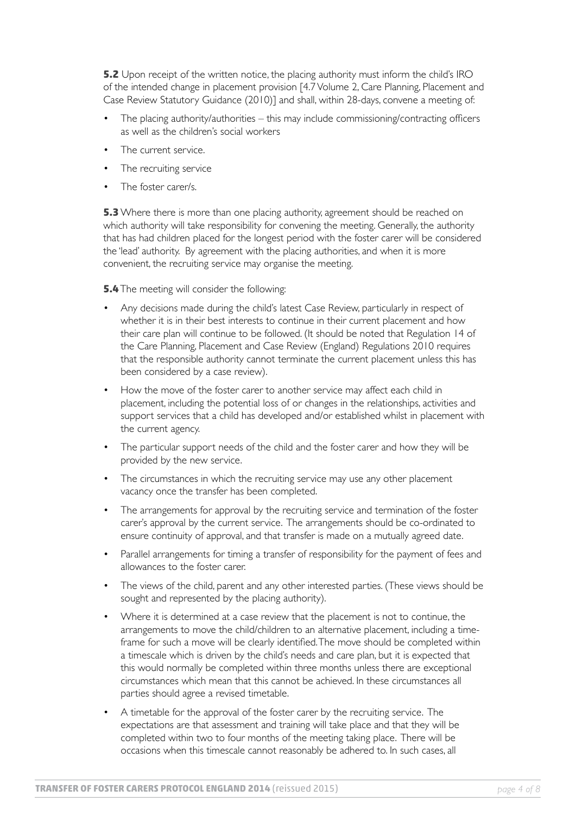**5.2** Upon receipt of the written notice, the placing authority must inform the child's IRO of the intended change in placement provision [4.7 Volume 2, Care Planning, Placement and Case Review Statutory Guidance (2010)] and shall, within 28-days, convene a meeting of:

- The placing authority/authorities this may include commissioning/contracting officers as well as the children's social workers •
- The current service. •
- The recruiting service •
- The foster carer/s. •

**5.3** Where there is more than one placing authority, agreement should be reached on which authority will take responsibility for convening the meeting. Generally, the authority that has had children placed for the longest period with the foster carer will be considered the 'lead' authority. By agreement with the placing authorities, and when it is more convenient, the recruiting service may organise the meeting.

**5.4** The meeting will consider the following:

- Any decisions made during the child's latest Case Review, particularly in respect of whether it is in their best interests to continue in their current placement and how their care plan will continue to be followed. (It should be noted that Regulation 14 of the Care Planning, Placement and Case Review (England) Regulations 2010 requires that the responsible authority cannot terminate the current placement unless this has been considered by a case review). •
- How the move of the foster carer to another service may affect each child in placement, including the potential loss of or changes in the relationships, activities and support services that a child has developed and/or established whilst in placement with the current agency. •
- The particular support needs of the child and the foster carer and how they will be provided by the new service. •
- The circumstances in which the recruiting service may use any other placement vacancy once the transfer has been completed. •
- The arrangements for approval by the recruiting service and termination of the foster carer's approval by the current service. The arrangements should be co-ordinated to ensure continuity of approval, and that transfer is made on a mutually agreed date. •
- Parallel arrangements for timing a transfer of responsibility for the payment of fees and allowances to the foster carer. •
- The views of the child, parent and any other interested parties. (These views should be sought and represented by the placing authority). •
- Where it is determined at a case review that the placement is not to continue, the arrangements to move the child/children to an alternative placement, including a timeframe for such a move will be clearly identified. The move should be completed within a timescale which is driven by the child's needs and care plan, but it is expected that this would normally be completed within three months unless there are exceptional circumstances which mean that this cannot be achieved. In these circumstances all parties should agree a revised timetable. •
- A timetable for the approval of the foster carer by the recruiting service. The expectations are that assessment and training will take place and that they will be completed within two to four months of the meeting taking place. There will be occasions when this timescale cannot reasonably be adhered to. In such cases, all •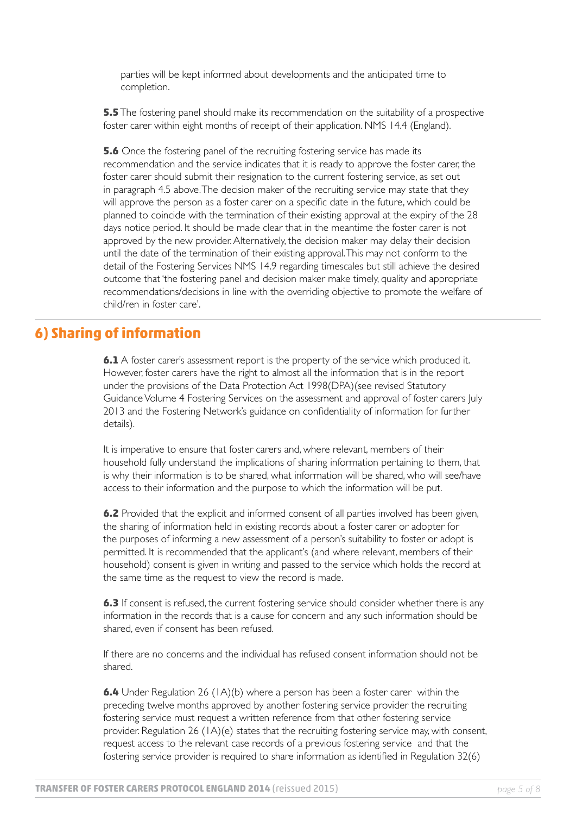parties will be kept informed about developments and the anticipated time to completion.

**5.5** The fostering panel should make its recommendation on the suitability of a prospective foster carer within eight months of receipt of their application. NMS 14.4 (England).

**5.6** Once the fostering panel of the recruiting fostering service has made its recommendation and the service indicates that it is ready to approve the foster carer, the foster carer should submit their resignation to the current fostering service, as set out in paragraph 4.5 above. The decision maker of the recruiting service may state that they will approve the person as a foster carer on a specific date in the future, which could be planned to coincide with the termination of their existing approval at the expiry of the 28 days notice period. It should be made clear that in the meantime the foster carer is not approved by the new provider. Alternatively, the decision maker may delay their decision until the date of the termination of their existing approval. This may not conform to the detail of the Fostering Services NMS 14.9 regarding timescales but still achieve the desired outcome that 'the fostering panel and decision maker make timely, quality and appropriate recommendations/decisions in line with the overriding objective to promote the welfare of child/ren in foster care'.

#### **6) Sharing of information**

**6.1** A foster carer's assessment report is the property of the service which produced it. However, foster carers have the right to almost all the information that is in the report under the provisions of the Data Protection Act 1998(DPA)(see revised Statutory Guidance Volume 4 Fostering Services on the assessment and approval of foster carers July 2013 and the Fostering Network's guidance on confidentiality of information for further details).

It is imperative to ensure that foster carers and, where relevant, members of their household fully understand the implications of sharing information pertaining to them, that is why their information is to be shared, what information will be shared, who will see/have access to their information and the purpose to which the information will be put.

**6.2** Provided that the explicit and informed consent of all parties involved has been given, the sharing of information held in existing records about a foster carer or adopter for the purposes of informing a new assessment of a person's suitability to foster or adopt is permitted. It is recommended that the applicant's (and where relevant, members of their household) consent is given in writing and passed to the service which holds the record at the same time as the request to view the record is made.

**6.3** If consent is refused, the current fostering service should consider whether there is any information in the records that is a cause for concern and any such information should be shared, even if consent has been refused.

If there are no concerns and the individual has refused consent information should not be shared.

**6.4** Under Regulation 26 (1A)(b) where a person has been a foster carer within the preceding twelve months approved by another fostering service provider the recruiting fostering service must request a written reference from that other fostering service provider. Regulation 26 (1A)(e) states that the recruiting fostering service may, with consent, request access to the relevant case records of a previous fostering service and that the fostering service provider is required to share information as identified in Regulation 32(6)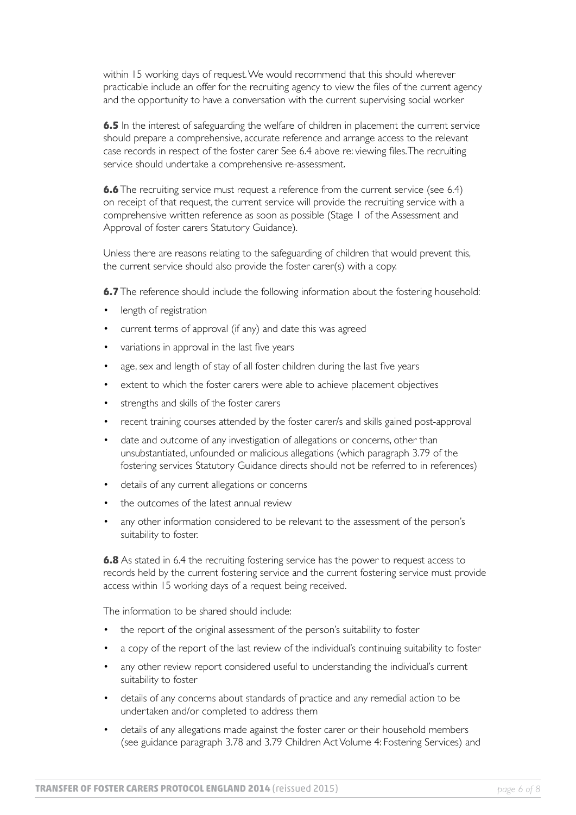within 15 working days of request. We would recommend that this should wherever practicable include an offer for the recruiting agency to view the files of the current agency and the opportunity to have a conversation with the current supervising social worker

**6.5** In the interest of safeguarding the welfare of children in placement the current service should prepare a comprehensive, accurate reference and arrange access to the relevant case records in respect of the foster carer See 6.4 above re: viewing files. The recruiting service should undertake a comprehensive re-assessment.

**6.6** The recruiting service must request a reference from the current service (see 6.4) on receipt of that request, the current service will provide the recruiting service with a comprehensive written reference as soon as possible (Stage 1 of the Assessment and Approval of foster carers Statutory Guidance).

Unless there are reasons relating to the safeguarding of children that would prevent this, the current service should also provide the foster carer(s) with a copy.

**6.7** The reference should include the following information about the fostering household:

- length of registration •
- current terms of approval (if any) and date this was agreed •
- variations in approval in the last five years •
- age, sex and length of stay of all foster children during the last five years •
- extent to which the foster carers were able to achieve placement objectives •
- strengths and skills of the foster carers •
- recent training courses attended by the foster carer/s and skills gained post-approval •
- date and outcome of any investigation of allegations or concerns, other than unsubstantiated, unfounded or malicious allegations (which paragraph 3.79 of the fostering services Statutory Guidance directs should not be referred to in references) •
- details of any current allegations or concerns •
- the outcomes of the latest annual review •
- any other information considered to be relevant to the assessment of the person's suitability to foster. •

**6.8** As stated in 6.4 the recruiting fostering service has the power to request access to records held by the current fostering service and the current fostering service must provide access within 15 working days of a request being received.

The information to be shared should include:

- the report of the original assessment of the person's suitability to foster •
- a copy of the report of the last review of the individual's continuing suitability to foster •
- any other review report considered useful to understanding the individual's current suitability to foster •
- details of any concerns about standards of practice and any remedial action to be undertaken and/or completed to address them •
- details of any allegations made against the foster carer or their household members (see guidance paragraph 3.78 and 3.79 Children Act Volume 4: Fostering Services) and •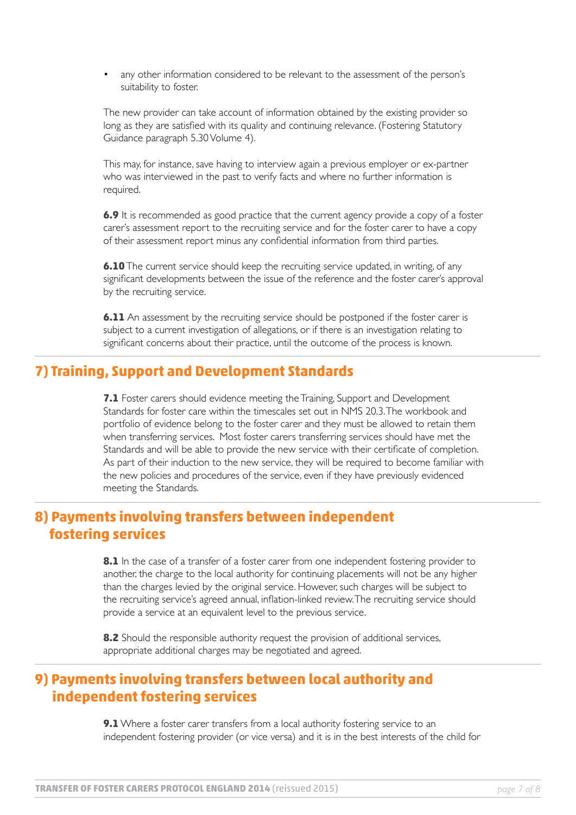any other information considered to be relevant to the assessment of the person's suitability to foster. •

The new provider can take account of information obtained by the existing provider so long as they are satisfied with its quality and continuing relevance. (Fostering Statutory Guidance paragraph 5.30 Volume 4).

This may, for instance, save having to interview again a previous employer or ex-partner who was interviewed in the past to verify facts and where no further information is required.

**6.9** It is recommended as good practice that the current agency provide a copy of a foster carer's assessment report to the recruiting service and for the foster carer to have a copy of their assessment report minus any confidential information from third parties.

**6.10** The current service should keep the recruiting service updated, in writing, of any significant developments between the issue of the reference and the foster carer's approval by the recruiting service.

**6.11** An assessment by the recruiting service should be postponed if the foster carer is subject to a current investigation of allegations, or if there is an investigation relating to significant concerns about their practice, until the outcome of the process is known.

# **7) Training, Support and Development Standards**

**7.1** Foster carers should evidence meeting the Training, Support and Development Standards for foster care within the timescales set out in NMS 20.3. The workbook and portfolio of evidence belong to the foster carer and they must be allowed to retain them when transferring services. Most foster carers transferring services should have met the Standards and will be able to provide the new service with their certificate of completion. As part of their induction to the new service, they will be required to become familiar with the new policies and procedures of the service, even if they have previously evidenced meeting the Standards.

#### **8) Payments involving transfers between independent fostering services**

8.1 In the case of a transfer of a foster carer from one independent fostering provider to another, the charge to the local authority for continuing placements will not be any higher than the charges levied by the original service. However, such charges will be subject to the recruiting service's agreed annual, inflation-linked review. The recruiting service should provide a service at an equivalent level to the previous service.

**8.2** Should the responsible authority request the provision of additional services, appropriate additional charges may be negotiated and agreed.

# **9) Payments involving transfers between local authority and independent fostering services**

**9.1** Where a foster carer transfers from a local authority fostering service to an independent fostering provider (or vice versa) and it is in the best interests of the child for